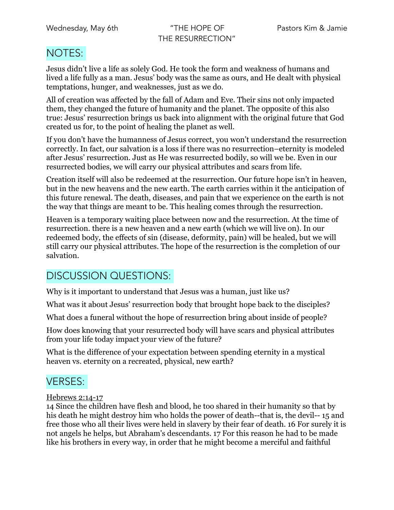THE RESURRECTION"

### NOTES:

Jesus didn't live a life as solely God. He took the form and weakness of humans and lived a life fully as a man. Jesus' body was the same as ours, and He dealt with physical temptations, hunger, and weaknesses, just as we do.

All of creation was affected by the fall of Adam and Eve. Their sins not only impacted them, they changed the future of humanity and the planet. The opposite of this also true: Jesus' resurrection brings us back into alignment with the original future that God created us for, to the point of healing the planet as well.

If you don't have the humanness of Jesus correct, you won't understand the resurrection correctly. In fact, our salvation is a loss if there was no resurrection–eternity is modeled after Jesus' resurrection. Just as He was resurrected bodily, so will we be. Even in our resurrected bodies, we will carry our physical attributes and scars from life.

Creation itself will also be redeemed at the resurrection. Our future hope isn't in heaven, but in the new heavens and the new earth. The earth carries within it the anticipation of this future renewal. The death, diseases, and pain that we experience on the earth is not the way that things are meant to be. This healing comes through the resurrection.

Heaven is a temporary waiting place between now and the resurrection. At the time of resurrection. there is a new heaven and a new earth (which we will live on). In our redeemed body, the effects of sin (disease, deformity, pain) will be healed, but we will still carry our physical attributes. The hope of the resurrection is the completion of our salvation.

## DISCUSSION QUESTIONS:

Why is it important to understand that Jesus was a human, just like us?

What was it about Jesus' resurrection body that brought hope back to the disciples?

What does a funeral without the hope of resurrection bring about inside of people?

How does knowing that your resurrected body will have scars and physical attributes from your life today impact your view of the future?

What is the difference of your expectation between spending eternity in a mystical heaven vs. eternity on a recreated, physical, new earth?

## VERSES:

#### Hebrews 2:14-17

14 Since the children have flesh and blood, he too shared in their humanity so that by his death he might destroy him who holds the power of death--that is, the devil-- 15 and free those who all their lives were held in slavery by their fear of death. 16 For surely it is not angels he helps, but Abraham's descendants. 17 For this reason he had to be made like his brothers in every way, in order that he might become a merciful and faithful